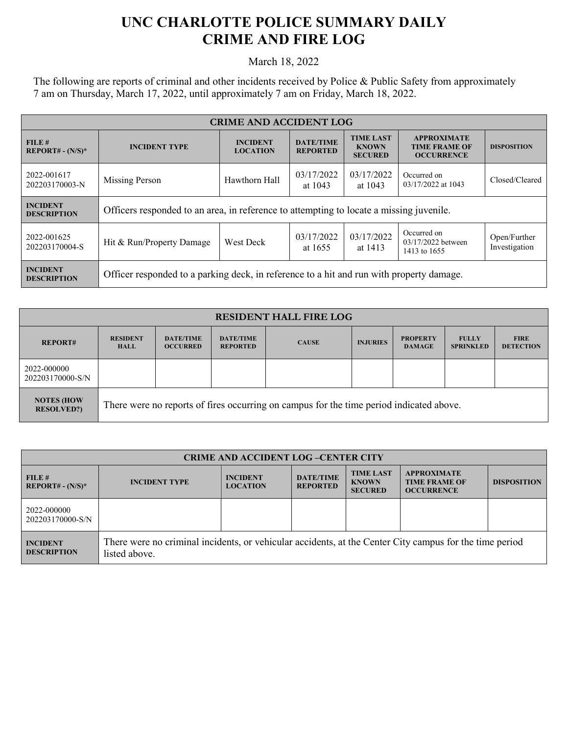## **UNC CHARLOTTE POLICE SUMMARY DAILY CRIME AND FIRE LOG**

March 18, 2022

The following are reports of criminal and other incidents received by Police & Public Safety from approximately 7 am on Thursday, March 17, 2022, until approximately 7 am on Friday, March 18, 2022.

| <b>CRIME AND ACCIDENT LOG</b>         |                                                                                          |                                    |                                     |                                                    |                                                                 |                               |  |
|---------------------------------------|------------------------------------------------------------------------------------------|------------------------------------|-------------------------------------|----------------------------------------------------|-----------------------------------------------------------------|-------------------------------|--|
| FILE#<br>$REPORT# - (N/S)*$           | <b>INCIDENT TYPE</b>                                                                     | <b>INCIDENT</b><br><b>LOCATION</b> | <b>DATE/TIME</b><br><b>REPORTED</b> | <b>TIME LAST</b><br><b>KNOWN</b><br><b>SECURED</b> | <b>APPROXIMATE</b><br><b>TIME FRAME OF</b><br><b>OCCURRENCE</b> | <b>DISPOSITION</b>            |  |
| 2022-001617<br>202203170003-N         | Missing Person                                                                           | Hawthorn Hall                      | 03/17/2022<br>at 1043               | 03/17/2022<br>at 1043                              | Occurred on<br>03/17/2022 at 1043                               | Closed/Cleared                |  |
| <b>INCIDENT</b><br><b>DESCRIPTION</b> | Officers responded to an area, in reference to attempting to locate a missing juvenile.  |                                    |                                     |                                                    |                                                                 |                               |  |
| 2022-001625<br>202203170004-S         | Hit & Run/Property Damage                                                                | West Deck                          | 03/17/2022<br>at 1655               | 03/17/2022<br>at 1413                              | Occurred on<br>03/17/2022 between<br>1413 to 1655               | Open/Further<br>Investigation |  |
| <b>INCIDENT</b><br><b>DESCRIPTION</b> | Officer responded to a parking deck, in reference to a hit and run with property damage. |                                    |                                     |                                                    |                                                                 |                               |  |

| <b>RESIDENT HALL FIRE LOG</b>          |                                                                                         |                                     |                                     |              |                 |                                  |                                  |                                 |
|----------------------------------------|-----------------------------------------------------------------------------------------|-------------------------------------|-------------------------------------|--------------|-----------------|----------------------------------|----------------------------------|---------------------------------|
| <b>REPORT#</b>                         | <b>RESIDENT</b><br><b>HALL</b>                                                          | <b>DATE/TIME</b><br><b>OCCURRED</b> | <b>DATE/TIME</b><br><b>REPORTED</b> | <b>CAUSE</b> | <b>INJURIES</b> | <b>PROPERTY</b><br><b>DAMAGE</b> | <b>FULLY</b><br><b>SPRINKLED</b> | <b>FIRE</b><br><b>DETECTION</b> |
| 2022-000000<br>202203170000-S/N        |                                                                                         |                                     |                                     |              |                 |                                  |                                  |                                 |
| <b>NOTES (HOW</b><br><b>RESOLVED?)</b> | There were no reports of fires occurring on campus for the time period indicated above. |                                     |                                     |              |                 |                                  |                                  |                                 |

| <b>CRIME AND ACCIDENT LOG-CENTER CITY</b> |                                                                                                                          |                                    |                                     |                                                    |                                                                 |                    |  |
|-------------------------------------------|--------------------------------------------------------------------------------------------------------------------------|------------------------------------|-------------------------------------|----------------------------------------------------|-----------------------------------------------------------------|--------------------|--|
| FILE#<br>$REPORT# - (N/S)*$               | <b>INCIDENT TYPE</b>                                                                                                     | <b>INCIDENT</b><br><b>LOCATION</b> | <b>DATE/TIME</b><br><b>REPORTED</b> | <b>TIME LAST</b><br><b>KNOWN</b><br><b>SECURED</b> | <b>APPROXIMATE</b><br><b>TIME FRAME OF</b><br><b>OCCURRENCE</b> | <b>DISPOSITION</b> |  |
| 2022-000000<br>202203170000-S/N           |                                                                                                                          |                                    |                                     |                                                    |                                                                 |                    |  |
| <b>INCIDENT</b><br><b>DESCRIPTION</b>     | There were no criminal incidents, or vehicular accidents, at the Center City campus for the time period<br>listed above. |                                    |                                     |                                                    |                                                                 |                    |  |